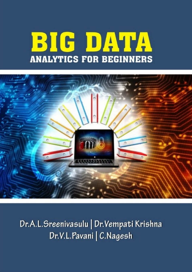# BIG DATA **ANALYTICS FOR BEGINNERS**



Dr.A.L.Sreenivasulu | Dr.Vempati Krishna Dr.V.L.Pavani | C.Nagesh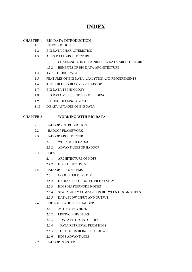### **INDEX**

#### CHAPTER 1 BIG DATA INTRODUCTION

- 1.1 INTRODUCTION
- 1.2 BIG DATA CHARACTERISTICS
- 1.3 A BIG DATA ARCHITECTURE
	- 1.3.1 CHALLENGES IN DESIGNING BIG DATA ARCHITECTURE
	- 1.3.2 BENEFITS OF BIG DATA ARCHITECTURE
- 1.4 TYPES OF BIG DATA
- 1.5 FEATURES OF BIG DATA ANALYTICS AND REQUIREMENTS
- 1.6 THE BUILDING BLOCKS OF HADOOP
- 1.7 BIG DATA TECHNOLOGY
- 1.8 BIG DATA VS. BUSINESS INTELLIGENCE
- 1.9 BENEFITS OF USING BIG DATA
- **1.10** DISADVANTAGES OF BIG DATA

#### CHAPTER 2 **WORKING WITH BIG DATA**

- 2.1 HADOOP INTRODUCTION
- 2.2 HADOOP FRAMEWORK
- 2.3 HADOOP ARCHITECTURE
	- 2.3.1 WORK WITH HADOOP
	- 2.3.2 ADVANTAGES OF HADOOP
- 2.4 HDFS
	- 2.4.1 ARCHITECTURE OF HDFS
	- 2.4.2 HDFS OBJECTIVES
- 2.5 HADOOP FILE SYSTEMS
	- 2.5.1 GOOGLE FILE SYSTEM
	- 2.5.2 HADOOP DISTRIBUTED FILE SYSTEM
	- 2.5.3 HDFS-MASTERNODE NODES
	- 2.5.4 SCALABILITY COMPARISON BETWEEN GFS AND HDFS
	- 2.5.5 DATA FLOW INPUT AND OUTPUT
- 2.6 HDFS OPERATIONS IN HADOOP
	- 2.6.1 ACTIVATING HDFS
	- 2.6.2 LISTING HDFS FILES
	- 2.6.3 DATA ENTRY INTO HDFS
	- 2.6.4 DATA RETRIEVAL FROM HDFS
	- 2.6.5 THE HDFS IS BEING SHUT DOWN.
	- 2.6.6 HDFS ADVANTAGES
- 2.7 HADOOP CLUSTER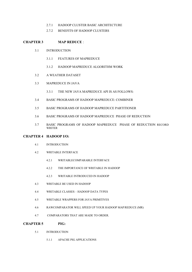- 2.7.1 HADOOP CLUSTER BASIC ARCHITECTURE
- 2.7.2 BENEFITS OF HADOOP CLUSTERS

#### **CHAPTER 3 MAP REDUCE** :

- 3.1 INTRODUCTION
	- 3.1.1 FEATURES OF MAPREDUCE
	- 3.1.2 HADOOP MAPREDUCE ALGORITHM WORK
- 3.2 A WEATHER DATASET
- 3.3 MAPREDUCE IN JAVA
	- 3.3.1 THE NEW JAVA MAPREDUCE API IS AS FOLLOWS:
- 3.4 BASIC PROGRAMS OF HADOOP MAPREDUCE: COMBINER
- 3.5 BASIC PROGRAMS OF HADOOP MAPREDUCE PARTITIONER
- 3.6 BASIC PROGRAMS OF HADOOP MAPREDUCE PHASE OF REDUCTION
- 3.7 BASIC PROGRAMS OF HADOOP MAPREDUCE PHASE OF REDUCTION RECORD WRITER

#### **CHAPTER 4 HADOOP I/O:**

- 4.1 INTRODUCTION
- 4.2 WRITABLE INTERFACE
	- 4.2.1 WRITABLECOMPARABLE INTERFACE
	- 4.2.2 THE IMPORTANCE OF WRITABLE IN HADOOP
	- 4.2.3 WRITABLE INTRODUCED IN HADOOP
- 4.3 WRITABLE BE USED IN HADOOP
- 4.4 WRITABLE CLASSES HADOOP DATA TYPES
- 4.5 WRITABLE WRAPPERS FOR JAVA PRIMITIVES
- 4.6 RAWCOMPARATOR WILL SPEED UP YOUR HADOOP MAP/REDUCE (MR)
- 4.7 COMPARATORS THAT ARE MADE TO ORDER.

#### **CHAPTER 5 PIG:**

- 5.1 INTRODUCTION
	- 5.1.1 APACHE PIG APPLICATIONS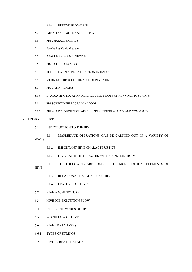- 5.1.2 History of the Apache Pig
- 5.2 IMPORTANCE OF THE APACHE PIG
- 5.3 PIG CHARACTERISTICS
- 5.4 Apache Pig Vs MapReduce
- 5.5 APACHE PIG ARCHITECTURE
- 5.6 PIG LATIN DATA MODEL
- 5.7 THE PIG LATIN APPLICATION FLOW IN HADOOP
- 5.8 WORKING THROUGH THE ABCS OF PIG LATIN
- 5.9 PIG LATIN BASICS
- 5.10 EVALUATING LOCAL AND DISTRIBUTED MODES OF RUNNING PIG SCRIPTS:
- 5.11 PIG SCRIPT INTERFACES IN HADOOP
- 5.12 PIG SCRIPT EXECUTION | APACHE PIG RUNNING SCRIPTS AND COMMENTS

#### **CHAPTER 6 HIVE**:

- 6.1 INTRODUCTION TO THE HIVE
- 6.1.1 MAPREDUCE OPERATIONS CAN BE CARRIED OUT IN A VARIETY OF WAYS:
	- 6.1.2 IMPORTANT HIVE CHARACTERISTICS
	- 6.1.3 HIVE CAN BE INTERACTED WITH USING METHODS
- 6.1.4 THE FOLLOWING ARE SOME OF THE MOST CRITICAL ELEMENTS OF HIVE:
	- 6.1.5 RELATIONAL DATABASES VS. HIVE:
	- 6.1.6 FEATURES OF HIVE
- 6.2 HIVE ARCHITECTURE
- 6.3 HIVE JOB EXECUTION FLOW:
- 6.4 DIFFERENT MODES OF HIVE
- 6.5 WORKFLOW OF HIVE
- 6.6 HIVE DATA TYPES
- 6.6.1 TYPES OF STRINGS
- 6.7 HIVE CREATE DATABASE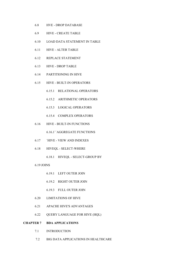- 6.8 HVE DROP DATABASE
- 6.9 HIVE CREATE TABLE
- 6.10 LOAD DATA STATEMENT IN TABLE
- 6.11 HIVE ALTER TABLE
- 6.12 REPLACE STATEMENT
- 6.13 HIVE DROP TABLE
- 6.14 PARTITIONING IN HIVE
- 6.15 HIVE BUILT-IN OPERATORS
	- 6.15.1 RELATIONAL OPERATORS
	- 6.15.2 ARITHMETIC OPERATORS
	- 6.15.3 LOGICAL OPERATORS
	- 6.15.4 COMPLEX OPERATORS
- 6.16 HIVE BUILT-IN FUNCTIONS

6.16.1``AGGREGATE FUNCTIONS

- 6.17 `HIVE VIEW AND INDEXES
- 6.18 HIVEQL SELECT-WHERE
	- 6.18.1 HIVEQL SELECT-GROUP BY
- 6.19 JOINS
	- 6.19.1 LEFT OUTER JOIN
	- 6.19.2 RIGHT OUTER JOIN
	- 6.19.3 FULL OUTER JOIN
- 6.20 LIMITATIONS OF HIVE
- 6.21 APACHE HIVE'S ADVANTAGES
- 6.22 QUERY LANGUAGE FOR HIVE (HQL)

#### **CHAPTER 7 BDA APPLICATIONS**

- 7.1 INTRODUCTION
- 7.2 BIG DATA APPLICATIONS IN HEALTHCARE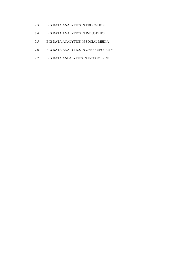- 7.3 BIG DATA ANALYTICS IN EDUCATION
- 7.4 BIG DATA ANALYTICS IN INDUSTRIES
- 7.5 BIG DATA ANALYTICS IN SOCIAL MEDIA
- 7.6 BIG DATA ANALYTICS IN CYBER SECURITY
- 7.7 BIG DATA ANLALYTICS IN E-COOMERCE